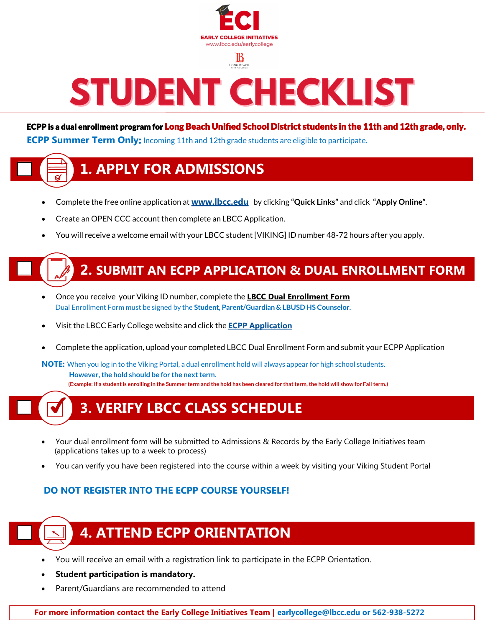

LONG BEACH

# STUDENT CHECKLIST

ECPP is a dual enrollment program for Long Beach Unified School District students in the 11th and 12th grade, only. **ECPP Summer Term Only:** Incoming 11th and 12th grade students are eligible to participate.

## **[1. APPLY FOR ADMISSIONS](https://youtu.be/D6D2E-OWm90)**

- Complete the free online application at **[www.lbcc.edu](https://www.lbcc.edu/)** by clicking **"Quick Links"** and click **"[Apply Online"](https://www.opencccapply.net/gateway/apply?cccMisCode=841)**.
- Create an OPEN CCC account then complete an LBCC Application.
- You will receive a welcome email with your LBCC student [VIKING] ID number 48-72 hours after you apply.



## **2. [SUBMIT AN ECPP APPLICATION & DUAL ENROLLMENT FORM](https://youtu.be/hD442SICKiY)**

- Once you receive your Viking ID number, complete the **[LBCC Dual Enrollment Form](https://www.lbcc.edu/sites/main/files/file-attachments/hs-dual-enrollment-form.pdf?1596495649)** Dual Enrollment Form must be signed by the **Student, Parent/Guardian & LBUSD HS Counselor.**
- Visit the LBCC Early College website and click the **[ECPP Application](https://apps.lbcc.edu/ecpp/)**
- Complete the application, upload your completed LBCC Dual Enrollment Form and submit your ECPP Application

**NOTE:** When you log in to the Viking Portal, a dual enrollment hold will always appear for high school students.  **However, the hold should be for the next term. (Example: If a student is enrolling in the Summer term and the hold has been cleared for that term, the hold will show for Fall term.)** 

## **3. VERIFY LBCC CLASS SCHEDULE**

- Your dual enrollment form will be submitted to Admissions & Records by the Early College Initiatives team (applications takes up to a week to process)
- You can verify you have been registered into the course within a week by visiting your Viking Student Portal

#### **DO NOT REGISTER INTO THE ECPP COURSE YOURSELF!**



## **4. ATTEND ECPP ORIENTATION**

- You will receive an email with a registration link to participate in the ECPP Orientation.
- **Student participation is mandatory.**
- Parent/Guardians are recommended to attend

**For more information contact the Early College Initiatives Team | earlycollege@lbcc.edu or 562-938-5272**